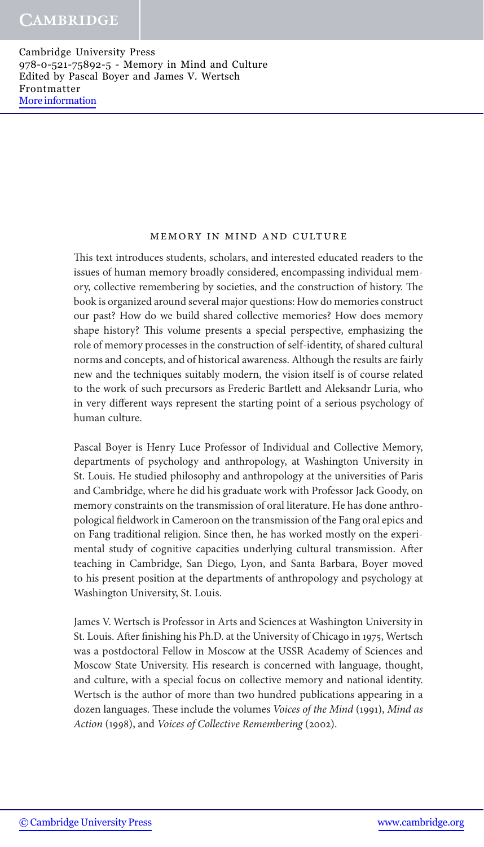#### Memory in Mind and Culture

This text introduces students, scholars, and interested educated readers to the issues of human memory broadly considered, encompassing individual memory, collective remembering by societies, and the construction of history. The book is organized around several major questions: How do memories construct our past? How do we build shared collective memories? How does memory shape history? This volume presents a special perspective, emphasizing the role of memory processes in the construction of self-identity, of shared cultural norms and concepts, and of historical awareness. Although the results are fairly new and the techniques suitably modern, the vision itself is of course related to the work of such precursors as Frederic Bartlett and Aleksandr Luria, who in very different ways represent the starting point of a serious psychology of human culture.

Pascal Boyer is Henry Luce Professor of Individual and Collective Memory, departments of psychology and anthropology, at Washington University in St. Louis. He studied philosophy and anthropology at the universities of Paris and Cambridge, where he did his graduate work with Professor Jack Goody, on memory constraints on the transmission of oral literature. He has done anthropological fieldwork in Cameroon on the transmission of the Fang oral epics and on Fang traditional religion. Since then, he has worked mostly on the experimental study of cognitive capacities underlying cultural transmission. After teaching in Cambridge, San Diego, Lyon, and Santa Barbara, Boyer moved to his present position at the departments of anthropology and psychology at Washington University, St. Louis.

James V. Wertsch is Professor in Arts and Sciences at Washington University in St. Louis. After finishing his Ph.D. at the University of Chicago in 1975, Wertsch was a postdoctoral Fellow in Moscow at the USSR Academy of Sciences and Moscow State University. His research is concerned with language, thought, and culture, with a special focus on collective memory and national identity. Wertsch is the author of more than two hundred publications appearing in a dozen languages. These include the volumes *Voices of the Mind* (1991), *Mind as Action* (1998), and *Voices of Collective Remembering* (2002).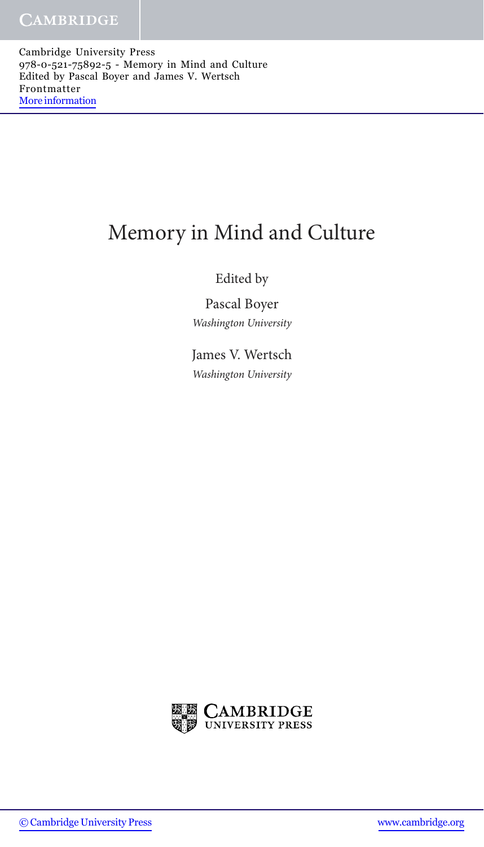# Memory in Mind and Culture

# Edited by

Pascal Boyer *Washington University*

James V. Wertsch *Washington University*

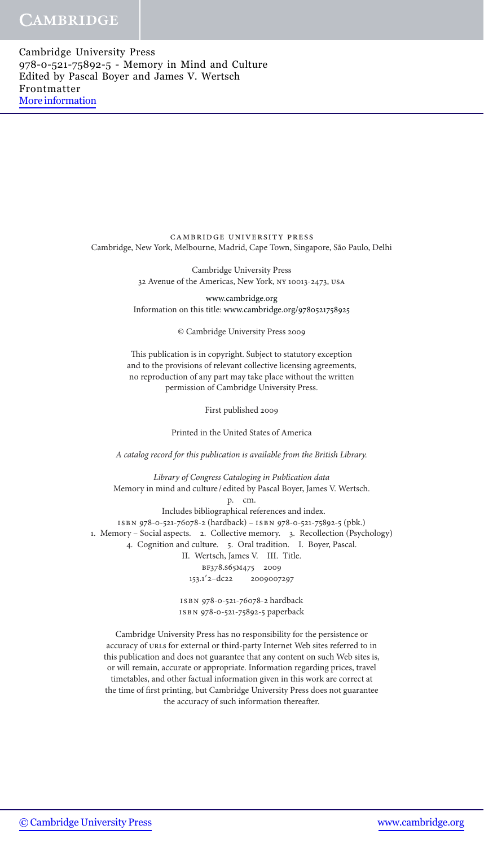> CAMBRIDGE UNIVERSITY PRESS Cambridge, New York, Melbourne, Madrid, Cape Town, Singapore, São Paulo, Delhi

> > Cambridge University Press 32 Avenue of the Americas, New York, ny 10013-2473, usa

www.cambridge.org Information on this title: www.cambridge.org/9780521758925

© Cambridge University Press 2009

This publication is in copyright. Subject to statutory exception and to the provisions of relevant collective licensing agreements, no reproduction of any part may take place without the written permission of Cambridge University Press.

First published 2009

Printed in the United States of America

*A catalog record for this publication is available from the British Library.*

*Library of Congress Cataloging in Publication data* Memory in mind and culture / edited by Pascal Boyer, James V. Wertsch. p. cm. Includes bibliographical references and index. isbn 978-0-521-76078-2 (hardback) – isbn 978-0-521-75892-5 (pbk.) 1. Memory – Social aspects. 2. Collective memory. 3. Recollection (Psychology) 4. Cognition and culture. 5. Oral tradition. I. Boyer, Pascal. II. Wertsch, James V. III. Title. bf378.s65m475 2009 153.1<sup>'</sup>2-dc22 2009007297 isbn 978-0-521-76078-2 hardback

isbn 978-0-521-75892-5 paperback

Cambridge University Press has no responsibility for the persistence or accuracy of urls for external or third-party Internet Web sites referred to in this publication and does not guarantee that any content on such Web sites is, or will remain, accurate or appropriate. Information regarding prices, travel timetables, and other factual information given in this work are correct at the time of first printing, but Cambridge University Press does not guarantee the accuracy of such information thereafter.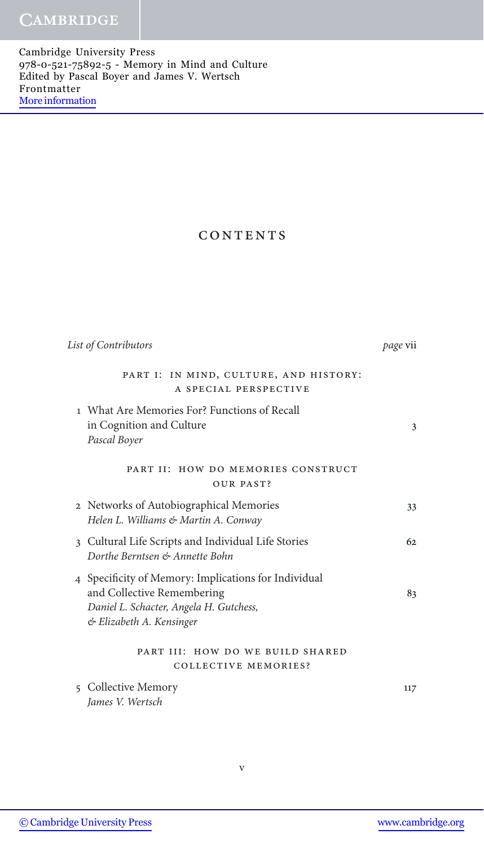## CONTENTS

| List of Contributors                                                                                                                                      | page vii |
|-----------------------------------------------------------------------------------------------------------------------------------------------------------|----------|
| PART I: IN MIND, CULTURE, AND HISTORY:<br>A SPECIAL PERSPECTIVE                                                                                           |          |
| 1 What Are Memories For? Functions of Recall<br>in Cognition and Culture<br>Pascal Boyer                                                                  | 3        |
| PART II: HOW DO MEMORIES CONSTRUCT<br>OUR PAST?                                                                                                           |          |
| 2 Networks of Autobiographical Memories<br>Helen L. Williams & Martin A. Conway                                                                           | 33       |
| 3 Cultural Life Scripts and Individual Life Stories<br>Dorthe Berntsen & Annette Bohn                                                                     | 62.      |
| 4 Specificity of Memory: Implications for Individual<br>and Collective Remembering<br>Daniel L. Schacter, Angela H. Gutchess,<br>& Elizabeth A. Kensinger | 83       |
| PART III: HOW DO WE BUILD SHARED<br><b>COLLECTIVE MEMORIES?</b>                                                                                           |          |
| 5 Collective Memory<br>James V. Wertsch                                                                                                                   | 117      |

v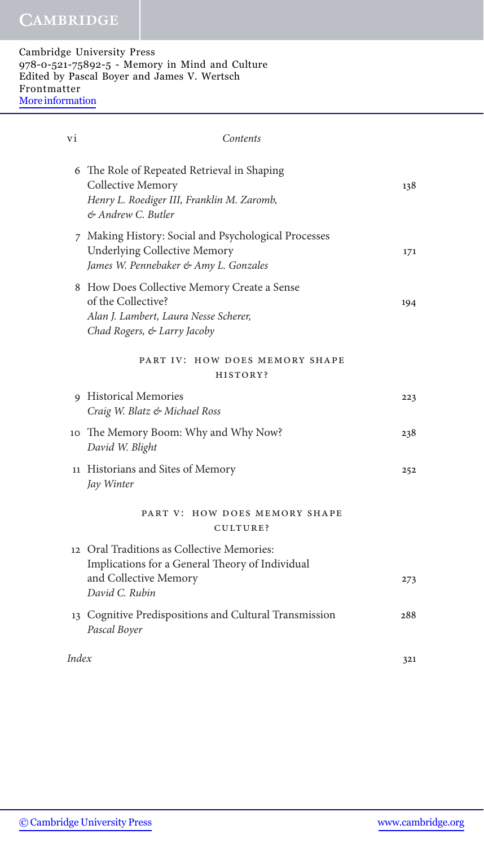| vi    | Contents                                                                                                                                  |     |
|-------|-------------------------------------------------------------------------------------------------------------------------------------------|-----|
|       | 6 The Role of Repeated Retrieval in Shaping<br>Collective Memory<br>Henry L. Roediger III, Franklin M. Zaromb,<br>& Andrew C. Butler      | 138 |
|       | 7 Making History: Social and Psychological Processes<br><b>Underlying Collective Memory</b><br>James W. Pennebaker & Amy L. Gonzales      | 171 |
|       | 8 How Does Collective Memory Create a Sense<br>of the Collective?<br>Alan J. Lambert, Laura Nesse Scherer,<br>Chad Rogers, & Larry Jacoby | 194 |
|       | PART IV: HOW DOES MEMORY SHAPE<br>HISTORY?                                                                                                |     |
|       | 9 Historical Memories<br>Craig W. Blatz & Michael Ross                                                                                    | 223 |
|       | 10 The Memory Boom: Why and Why Now?<br>David W. Blight                                                                                   | 238 |
|       | 11 Historians and Sites of Memory<br>Jay Winter                                                                                           | 252 |
|       | PART V: HOW DOES MEMORY SHAPE<br>CULTURE?                                                                                                 |     |
|       | 12 Oral Traditions as Collective Memories:<br>Implications for a General Theory of Individual<br>and Collective Memory<br>David C. Rubin  | 273 |
|       | 13 Cognitive Predispositions and Cultural Transmission<br>Pascal Boyer                                                                    | 288 |
| Index |                                                                                                                                           | 321 |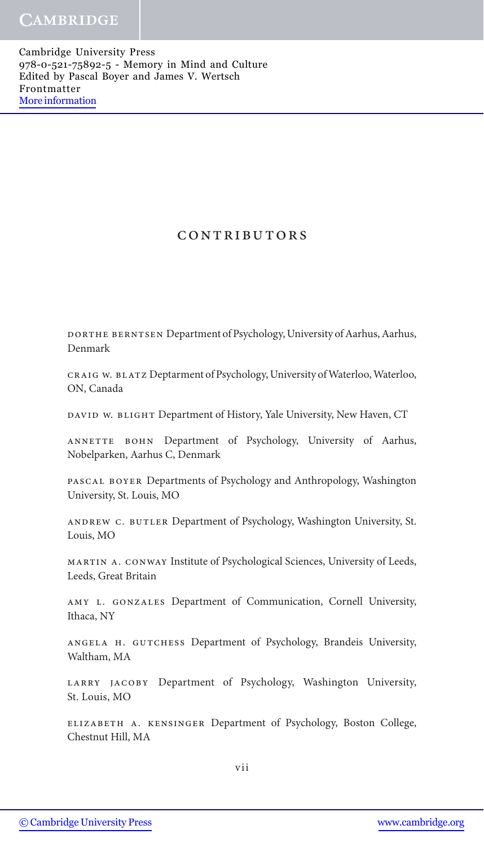### CONTRIBUTORS

Dorthe Berntsen Department of Psychology, University of Aarhus, Aarhus, Denmark

Craig W. Blatz Deptarment of Psychology, University of Waterloo, Waterloo, ON, Canada

DAVID W. BLIGHT Department of History, Yale University, New Haven, CT

ANNETTE BOHN Department of Psychology, University of Aarhus, Nobelparken, Aarhus C, Denmark

Pascal Boyer Departments of Psychology and Anthropology, Washington University, St. Louis, MO

Andrew C. Butler Department of Psychology, Washington University, St. Louis, MO

Martin A. Conway Institute of Psychological Sciences, University of Leeds, Leeds, Great Britain

Amy L. Gonzales Department of Communication, Cornell University, Ithaca, NY

Angela H. Gutchess Department of Psychology, Brandeis University, Waltham, MA

LARRY JACOBY Department of Psychology, Washington University, St. Louis, MO

Elizabeth A. Kensinger Department of Psychology, Boston College, Chestnut Hill, MA

vii